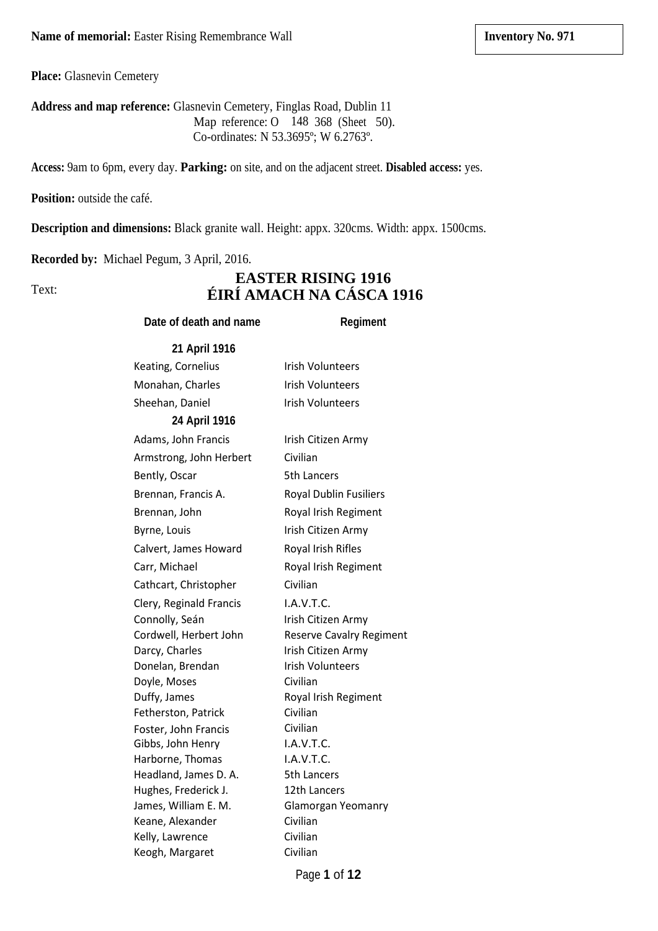**Place:** Glasnevin Cemetery

**Address and map reference:** Glasnevin Cemetery, Finglas Road, Dublin 11 Map reference: O 148 368 (Sheet 50). Co-ordinates: N 53.3695º; W 6.2763º.

**Access:** 9am to 6pm, every day. **Parking:** on site, and on the adjacent street. **Disabled access:** yes.

**Position:** outside the café.

**Description and dimensions:** Black granite wall. Height: appx. 320cms. Width: appx. 1500cms.

**Recorded by:** Michael Pegum, 3 April, 2016.

Text:

## **EASTER RISING 1916 ÉIRÍ AMACH NA CÁSCA 1916**

## **Date of death and name Regiment**

| Irish Volunteers        |
|-------------------------|
| <b>Irish Volunteers</b> |
|                         |

Gibbs, John Henry

Sheehan, Daniel Irish Volunteers **24 April 1916** Adams, John Francis Irish Citizen Army Armstrong, John Herbert Civilian Bently, Oscar 5th Lancers Brennan, Francis A. Royal Dublin Fusiliers Brennan, John Royal Irish Regiment Byrne, Louis **Irish Citizen Army** Calvert, James Howard Royal Irish Rifles Carr, Michael Royal Irish Regiment Cathcart, Christopher Civilian Clery, Reginald Francis I.A.V.T.C. Connolly, Seán Irish Citizen Army Cordwell, Herbert John Reserve Cavalry Regiment Darcy, Charles Irish Citizen Army Donelan, Brendan Irish Volunteers Doyle, Moses Civilian Duffy, James Royal Irish Regiment Fetherston, Patrick Civilian Foster, John Francis Civilian I.A.V.T.C. Harborne, Thomas **I.A.V.T.C.** Headland, James D. A. 5th Lancers Hughes, Frederick J. 12th Lancers James, William E. M. Glamorgan Yeomanry Keane, Alexander Civilian Kelly, Lawrence Civilian Keogh, Margaret Civilian

Page **1** of **12**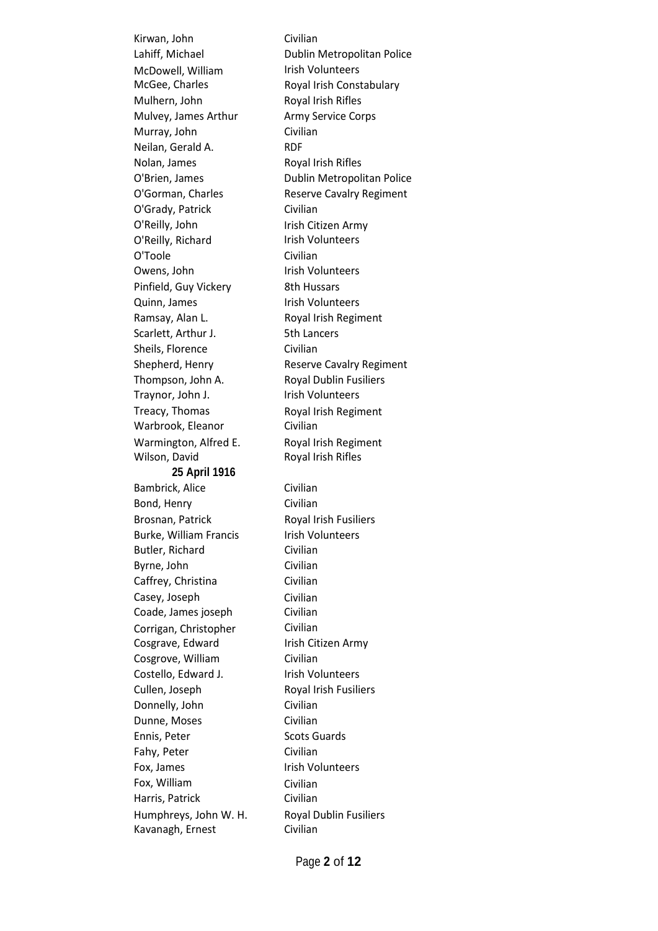Kirwan, John Civilian McDowell, William McGee, Charles Mulhern, John Royal Irish Rifles Mulvey, James Arthur Army Service Corps Murray, John Civilian Neilan, Gerald A. RDF Nolan, James Royal Irish Rifles O'Grady, Patrick Civilian O'Reilly, John O'Reilly, Richard O'Toole Civilian Owens, John Irish Volunteers Pinfield, Guy Vickery 8th Hussars Quinn, James Irish Volunteers Ramsay, Alan L. Royal Irish Regiment Scarlett, Arthur J. 5th Lancers Sheils, Florence Civilian Thompson, John A. Royal Dublin Fusiliers Traynor, John J. **Internal Irish Volunteers** Treacy, Thomas Warbrook, Eleanor Warmington, Alfred E. Wilson, David **25 April 1916** Bambrick, Alice Civilian Bond, Henry Civilian Brosnan, Patrick Royal Irish Fusiliers Burke, William Francis Irish Volunteers Butler, Richard Civilian Byrne, John Civilian Caffrey, Christina Civilian Casey, Joseph Coade, James joseph Corrigan, Christopher Cosgrave, Edward Cosgrove, William Civilian Costello, Edward J. Irish Volunteers Cullen, Joseph Royal Irish Fusiliers Donnelly, John Civilian Dunne, Moses Civilian Ennis, Peter Scots Guards Fahy, Peter Civilian Fox, James **Internal Institute** Irish Volunteers Fox, William Harris, Patrick Humphreys, John W. H. Kavanagh, Ernest

Lahiff, Michael Dublin Metropolitan Police Irish Volunteers Royal Irish Constabulary O'Brien, James Dublin Metropolitan Police O'Gorman, Charles Reserve Cavalry Regiment Irish Citizen Army Irish Volunteers Shepherd, Henry Reserve Cavalry Regiment Royal Irish Regiment Civilian Royal Irish Regiment Royal Irish Rifles Civilian Civilian Civilian Irish Citizen Army Civilian Civilian Royal Dublin Fusiliers Civilian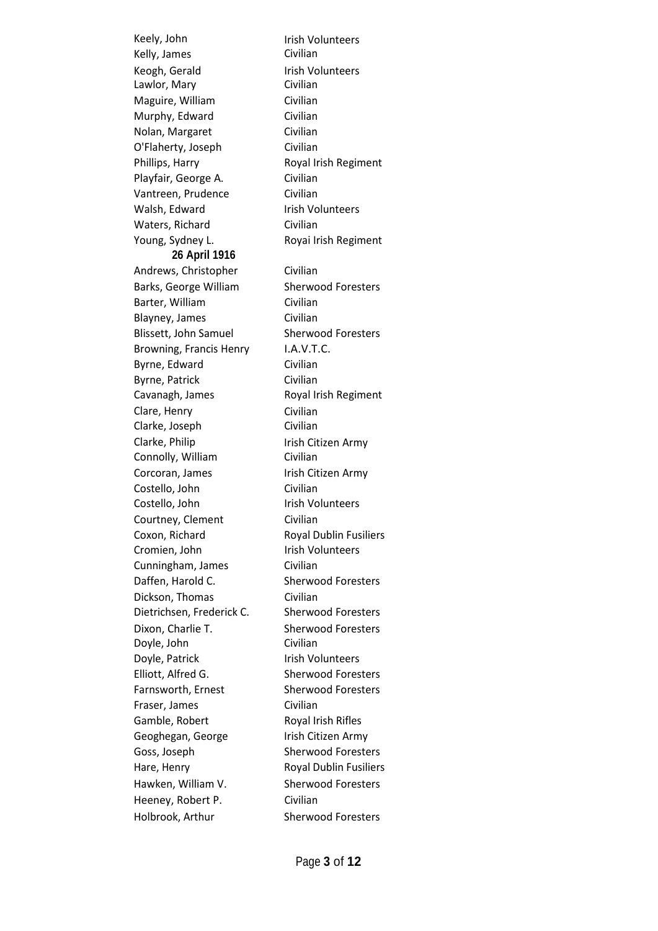Keely, John Kelly, James Keogh, Gerald Lawlor, Mary Maguire, William Civilian Murphy, Edward Civilian Nolan, Margaret Civilian O'Flaherty, Joseph Civilian Phillips, Harry Royal Irish Regiment Playfair, George A. Civilian Vantreen, Prudence Civilian Walsh, Edward Irish Volunteers Waters, Richard Civilian Young, Sydney L. Royai Irish Regiment **26 April 1916** Andrews, Christopher Civilian Barks, George William Sherwood Foresters Barter, William Civilian Blayney, James Civilian Blissett, John Samuel Sherwood Foresters Browning, Francis Henry I.A.V.T.C. Byrne, Edward Civilian Byrne, Patrick Civilian Cavanagh, James Royal Irish Regiment Clare, Henry Clarke, Joseph Clarke, Philip Connolly, William Corcoran, James Irish Citizen Army Costello, John Civilian Costello, John Irish Volunteers Courtney, Clement Civilian Coxon, Richard Royal Dublin Fusiliers Cromien, John Irish Volunteers Cunningham, James Civilian Daffen, Harold C. Sherwood Foresters Dickson, Thomas Civilian Dietrichsen, Frederick C. Sherwood Foresters Dixon, Charlie T. Doyle, John Doyle, Patrick **Irish Volunteers** Elliott, Alfred G. Sherwood Foresters Farnsworth, Ernest Sherwood Foresters Fraser, James Civilian Gamble, Robert Royal Irish Rifles Geoghegan, George Irish Citizen Army Goss, Joseph Sherwood Foresters Hare, Henry **Royal Dublin Fusiliers** Hawken, William V. Sherwood Foresters Heeney, Robert P. Civilian Holbrook, Arthur Sherwood Foresters

Irish Volunteers Civilian Irish Volunteers Civilian Civilian Civilian Irish Citizen Army Civilian Sherwood Foresters Civilian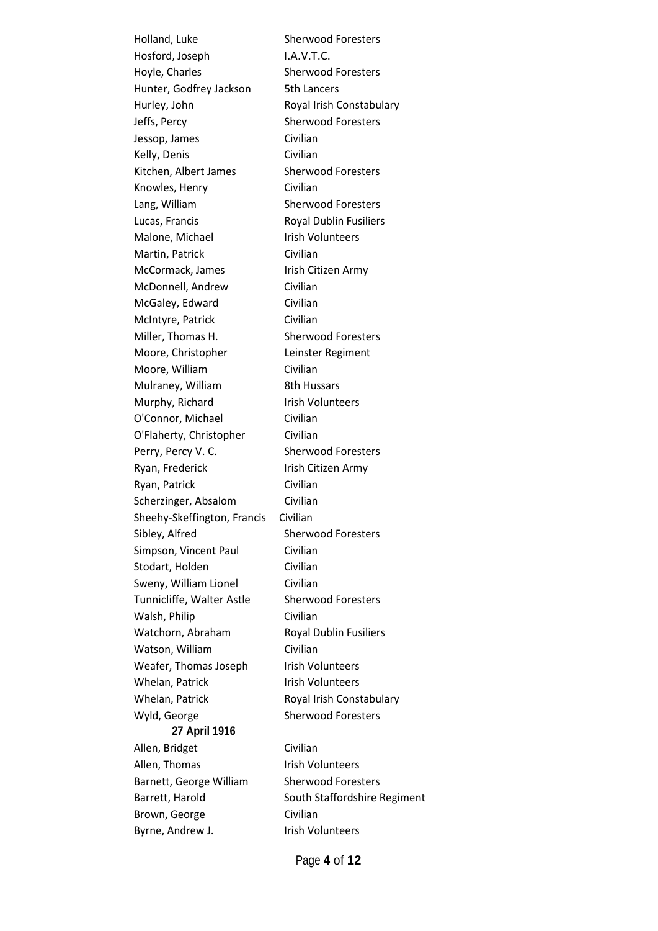Hosford, Joseph I.A.V.T.C. Hoyle, Charles Sherwood Foresters Hunter, Godfrey Jackson 5th Lancers Hurley, John Royal Irish Constabulary Jeffs, Percy Sherwood Foresters Jessop, James Civilian Kelly, Denis Civilian Kitchen, Albert James Sherwood Foresters Knowles, Henry Civilian Lang, William Sherwood Foresters Lucas, Francis Royal Dublin Fusiliers Malone, Michael **Irish Volunteers** Martin, Patrick Civilian McCormack, James Irish Citizen Army McDonnell, Andrew Civilian McGaley, Edward Civilian McIntyre, Patrick Civilian Miller, Thomas H. Sherwood Foresters Moore, Christopher Leinster Regiment Moore, William Civilian Mulraney, William 8th Hussars Murphy, Richard Irish Volunteers O'Connor, Michael Civilian O'Flaherty, Christopher Civilian Perry, Percy V. C. Sherwood Foresters Ryan, Frederick Irish Citizen Army Ryan, Patrick Civilian Scherzinger, Absalom Civilian Sheehy-Skeffington, Francis Civilian Sibley, Alfred Sherwood Foresters Simpson, Vincent Paul Civilian Stodart, Holden Civilian Sweny, William Lionel Civilian Tunnicliffe, Walter Astle Sherwood Foresters Walsh, Philip Civilian Watchorn, Abraham Royal Dublin Fusiliers Watson, William Civilian Weafer, Thomas Joseph Irish Volunteers Whelan, Patrick Irish Volunteers Whelan, Patrick Royal Irish Constabulary Wyld, George Sherwood Foresters **27 April 1916** Allen, Bridget Civilian Allen, Thomas Irish Volunteers Barnett, George William Sherwood Foresters Barrett, Harold South Staffordshire Regiment Brown, George Civilian Byrne, Andrew J. **In the State Warehoute** Irish Volunteers

Holland, Luke Sherwood Foresters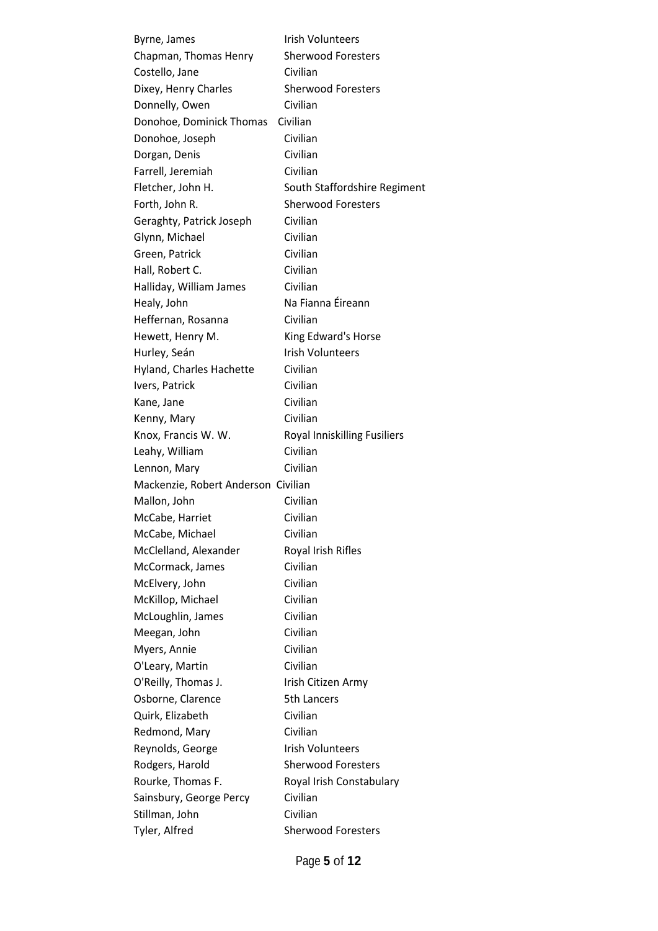Byrne, James **International Irish Volunteers** Chapman, Thomas Henry Sherwood Foresters Costello, Jane Civilian Dixey, Henry Charles Sherwood Foresters Donnelly, Owen Civilian Donohoe, Dominick Thomas Civilian Donohoe, Joseph Civilian Dorgan, Denis Civilian Farrell, Jeremiah Civilian Fletcher, John H. South Staffordshire Regiment Forth, John R. Sherwood Foresters Geraghty, Patrick Joseph Civilian Glynn, Michael Civilian Green, Patrick Civilian Hall, Robert C. Civilian Halliday, William James Civilian Healy, John Na Fianna Éireann Heffernan, Rosanna Civilian Hewett, Henry M. King Edward's Horse Hurley, Seán Irish Volunteers Hyland, Charles Hachette Civilian Ivers, Patrick Civilian Kane, Jane Civilian Kenny, Mary Civilian Knox, Francis W. W. Royal Inniskilling Fusiliers Leahy, William Civilian Lennon, Mary Civilian Mackenzie, Robert Anderson Civilian Mallon, John Civilian McCabe, Harriet Civilian McCabe, Michael Civilian McClelland, Alexander Royal Irish Rifles McCormack, James Civilian McElvery, John Civilian McKillop, Michael Civilian McLoughlin, James Civilian Meegan, John Civilian Myers, Annie Civilian O'Leary, Martin Civilian O'Reilly, Thomas J. Irish Citizen Army Osborne, Clarence 5th Lancers Quirk, Elizabeth Civilian Redmond, Mary Civilian Reynolds, George Irish Volunteers Rodgers, Harold Sherwood Foresters Rourke, Thomas F. Royal Irish Constabulary Sainsbury, George Percy Civilian Stillman, John Civilian Tyler, Alfred Sherwood Foresters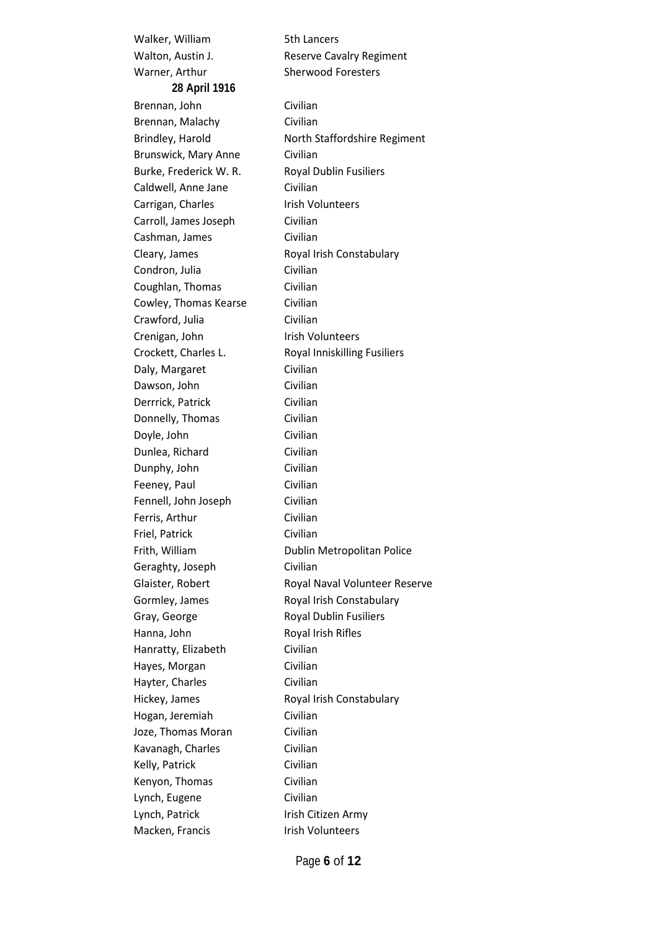Walker, William 5th Lancers Walton, Austin J. Reserve Cavalry Regiment Warner, Arthur Sherwood Foresters **28 April 1916** Brennan, John Civilian Brennan, Malachy Civilian Brunswick, Mary Anne Civilian Burke, Frederick W. R. Royal Dublin Fusiliers Caldwell, Anne Jane Civilian Carrigan, Charles **Institute Irish Volunteers** Carroll, James Joseph Civilian Cashman, James Civilian Cleary, James Royal Irish Constabulary Condron, Julia Civilian Coughlan, Thomas Civilian Cowley, Thomas Kearse Civilian Crawford, Julia Civilian Crenigan, John Irish Volunteers Crockett, Charles L. Royal Inniskilling Fusiliers Daly, Margaret Civilian Dawson, John Civilian Derrrick, Patrick Civilian Donnelly, Thomas Civilian Doyle, John Civilian Dunlea, Richard Civilian Dunphy, John Civilian Feeney, Paul Civilian Fennell, John Joseph Civilian Ferris, Arthur Civilian Friel, Patrick Civilian Geraghty, Joseph Civilian Gormley, James Royal Irish Constabulary Gray, George **Royal Dublin Fusiliers** Hanna, John Royal Irish Rifles Hanratty, Elizabeth Civilian Hayes, Morgan Civilian Hayter, Charles Civilian Hickey, James Royal Irish Constabulary Hogan, Jeremiah Civilian Joze, Thomas Moran Civilian Kavanagh, Charles Civilian Kelly, Patrick Civilian Kenyon, Thomas Civilian Lynch, Eugene Civilian Lynch, Patrick **Irish Citizen Army** Macken, Francis **Irish Volunteers** 

Brindley, Harold North Staffordshire Regiment Frith, William Dublin Metropolitan Police Glaister, Robert Royal Naval Volunteer Reserve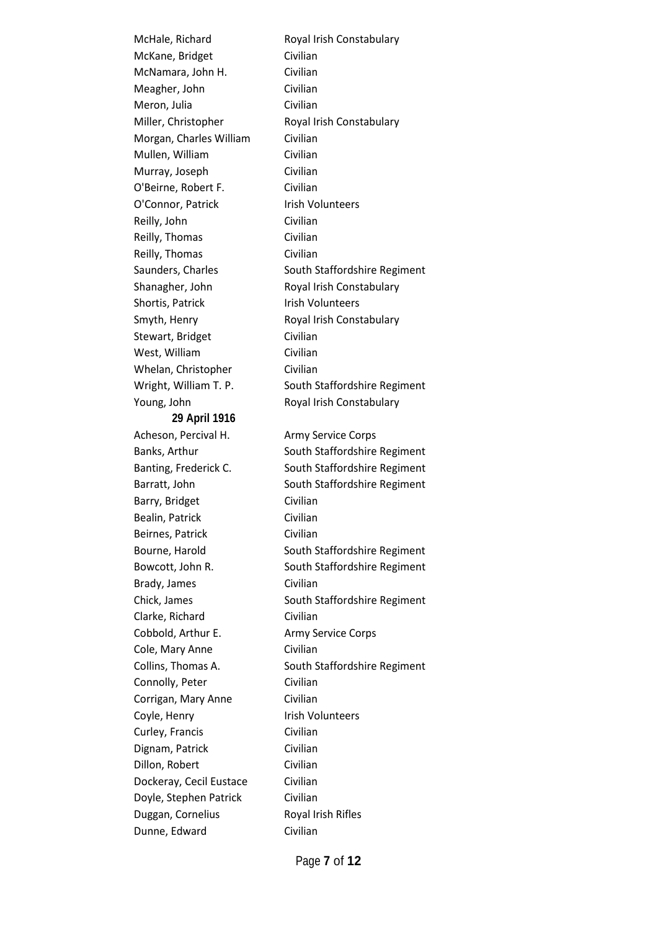McKane, Bridget Civilian McNamara, John H. Civilian Meagher, John Civilian Meron, Julia **Civilian** Miller, Christopher Royal Irish Constabulary Morgan, Charles William Civilian Mullen, William Civilian Murray, Joseph Civilian O'Beirne, Robert F. Civilian O'Connor, Patrick Irish Volunteers Reilly, John Civilian Reilly, Thomas Civilian Reilly, Thomas Civilian Shanagher, John Royal Irish Constabulary Shortis, Patrick Irish Volunteers Smyth, Henry Royal Irish Constabulary Stewart, Bridget Civilian West, William Civilian Whelan, Christopher Civilian Young, John Royal Irish Constabulary **29 April 1916** Acheson, Percival H. Army Service Corps Barry, Bridget Civilian Bealin, Patrick Civilian Beirnes, Patrick Civilian Brady, James Civilian Clarke, Richard Civilian Cobbold, Arthur E. Army Service Corps Cole, Mary Anne Civilian Connolly, Peter Civilian Corrigan, Mary Anne Civilian Coyle, Henry **Internal Irish Volunteers** Curley, Francis Civilian Dignam, Patrick Civilian Dillon, Robert Civilian Dockeray, Cecil Eustace Civilian Doyle, Stephen Patrick Civilian Duggan, Cornelius Royal Irish Rifles Dunne, Edward Civilian

McHale, Richard Royal Irish Constabulary Saunders, Charles South Staffordshire Regiment Wright, William T. P. South Staffordshire Regiment Banks, Arthur South Staffordshire Regiment Banting, Frederick C. South Staffordshire Regiment Barratt, John South Staffordshire Regiment Bourne, Harold South Staffordshire Regiment Bowcott, John R. South Staffordshire Regiment Chick, James South Staffordshire Regiment Collins, Thomas A. South Staffordshire Regiment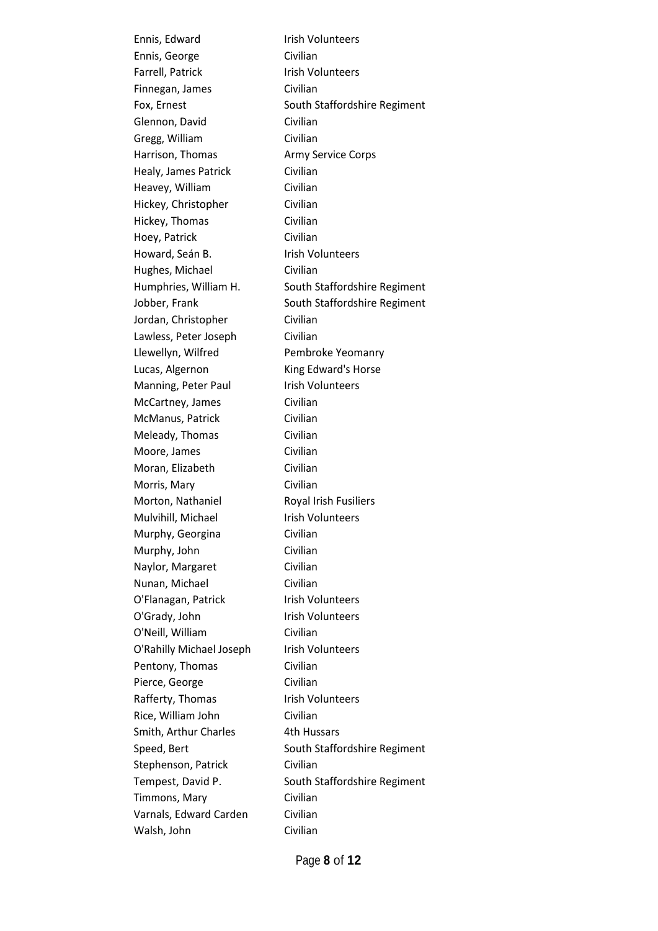Ennis, George Civilian Farrell, Patrick Irish Volunteers Finnegan, James Civilian Glennon, David Civilian Gregg, William Civilian Harrison, Thomas **Army Service Corps** Healy, James Patrick Civilian Heavey, William Civilian Hickey, Christopher Civilian Hickey, Thomas Civilian Hoey, Patrick Civilian Howard, Seán B. **Install Search** Irish Volunteers Hughes, Michael Civilian Jordan, Christopher Civilian Lawless, Peter Joseph Civilian Llewellyn, Wilfred Pembroke Yeomanry Lucas, Algernon King Edward's Horse Manning, Peter Paul Irish Volunteers McCartney, James Civilian McManus, Patrick Civilian Meleady, Thomas Civilian Moore, James Civilian Moran, Elizabeth Civilian Morris, Mary Civilian Morton, Nathaniel Royal Irish Fusiliers Mulvihill, Michael Irish Volunteers Murphy, Georgina Civilian Murphy, John Civilian Naylor, Margaret Civilian Nunan, Michael Civilian O'Flanagan, Patrick Irish Volunteers O'Grady, John Irish Volunteers O'Neill, William Civilian O'Rahilly Michael Joseph Irish Volunteers Pentony, Thomas Civilian Pierce, George Civilian Rafferty, Thomas Irish Volunteers Rice, William John Civilian Smith, Arthur Charles 4th Hussars Stephenson, Patrick Civilian Timmons, Mary Civilian Varnals, Edward Carden Civilian Walsh, John Civilian

Ennis, Edward Irish Volunteers Fox, Ernest South Staffordshire Regiment Humphries, William H. South Staffordshire Regiment Jobber, Frank South Staffordshire Regiment Speed, Bert South Staffordshire Regiment Tempest, David P. South Staffordshire Regiment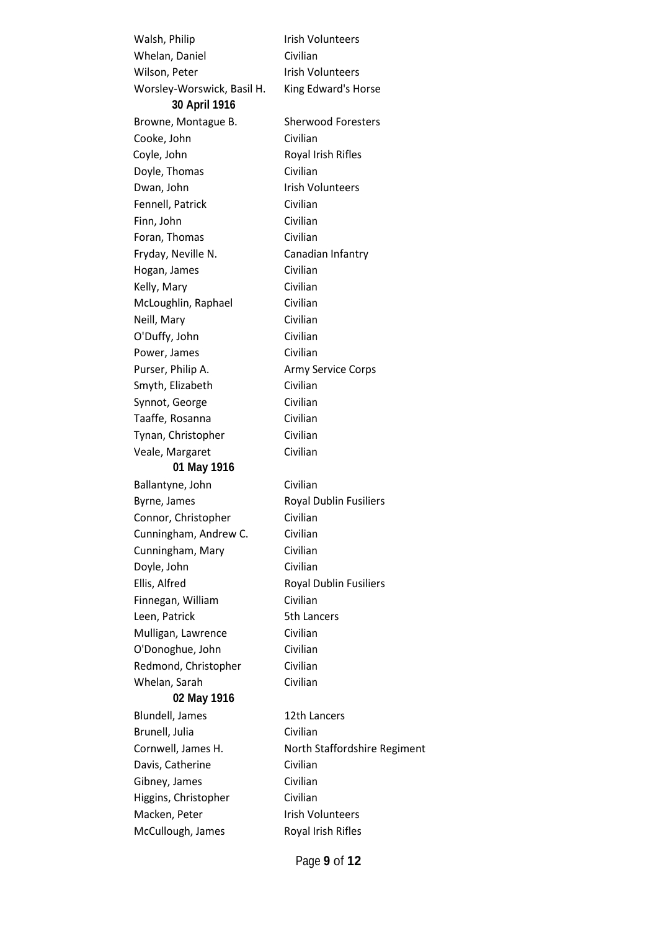Walsh, Philip **Irish Volunteers** Whelan, Daniel Civilian Wilson, Peter **Internal Irish Volunteers** Worsley-Worswick, Basil H. King Edward's Horse **30 April 1916** Browne, Montague B. Sherwood Foresters Cooke, John Civilian Coyle, John Royal Irish Rifles Doyle, Thomas Civilian Dwan, John Irish Volunteers Fennell, Patrick Civilian Finn, John Civilian Foran, Thomas Civilian Fryday, Neville N. Canadian Infantry Hogan, James Civilian Kelly, Mary Civilian McLoughlin, Raphael Civilian Neill, Mary Civilian O'Duffy, John Civilian Power, James Civilian Purser, Philip A. **Army Service Corps** Smyth, Elizabeth Civilian Synnot, George Civilian Taaffe, Rosanna Civilian Tynan, Christopher Civilian Veale, Margaret Civilian **01 May 1916** Ballantyne, John Civilian Byrne, James Royal Dublin Fusiliers Connor, Christopher Civilian Cunningham, Andrew C. Civilian Cunningham, Mary Civilian Doyle, John Civilian Ellis, Alfred Royal Dublin Fusiliers Finnegan, William Civilian Leen, Patrick 5th Lancers Mulligan, Lawrence Civilian O'Donoghue, John Civilian Redmond, Christopher Civilian Whelan, Sarah Civilian **02 May 1916** Blundell, James 12th Lancers Brunell, Julia Civilian Cornwell, James H. North Staffordshire Regiment Davis, Catherine Civilian Gibney, James Civilian Higgins, Christopher Civilian Macken, Peter Irish Volunteers McCullough, James Royal Irish Rifles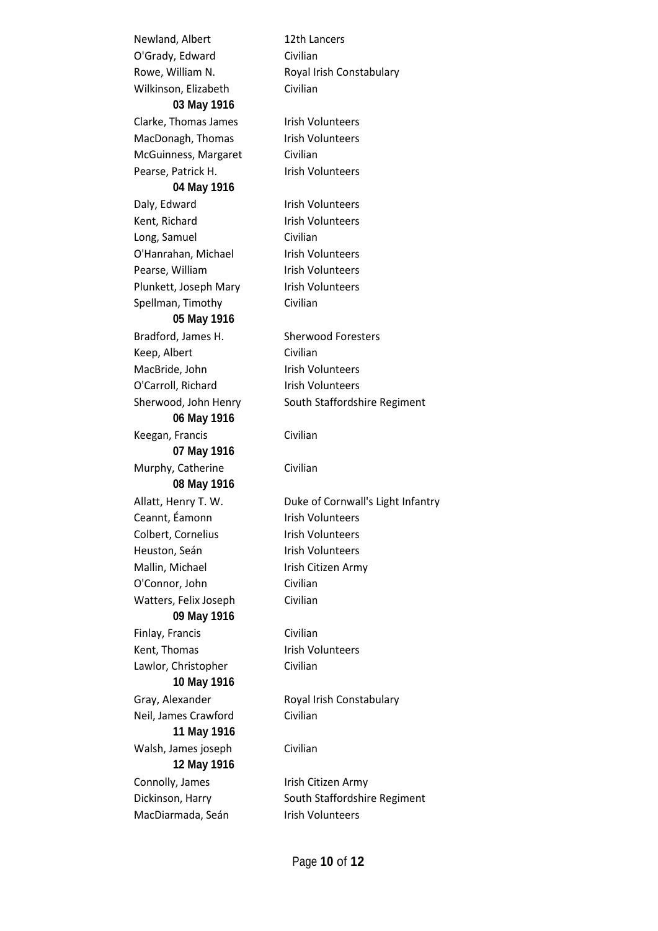Newland, Albert 12th Lancers O'Grady, Edward Civilian Wilkinson, Elizabeth Civilian **03 May 1916** Clarke, Thomas James Irish Volunteers MacDonagh, Thomas Irish Volunteers McGuinness, Margaret Civilian Pearse, Patrick H. Irish Volunteers **04 May 1916** Daly, Edward Irish Volunteers Kent, Richard **Irish Volunteers** Long, Samuel Civilian O'Hanrahan, Michael Irish Volunteers Pearse, William Irish Volunteers Plunkett, Joseph Mary Irish Volunteers Spellman, Timothy Civilian **05 May 1916** Bradford, James H. Sherwood Foresters Keep, Albert Civilian MacBride, John Irish Volunteers O'Carroll, Richard Irish Volunteers **06 May 1916** Keegan, Francis Civilian **07 May 1916** Murphy, Catherine Civilian **08 May 1916** Ceannt, Éamonn Irish Volunteers Colbert, Cornelius **Install Colbert**, Cornelius Heuston, Seán **Irish Volunteers** Mallin, Michael Irish Citizen Army O'Connor, John Civilian Watters, Felix Joseph Civilian **09 May 1916** Finlay, Francis Civilian Kent, Thomas Irish Volunteers Lawlor, Christopher Civilian **10 May 1916** Neil, James Crawford Civilian **11 May 1916** Walsh, James joseph Civilian **12 May 1916** Connolly, James Irish Citizen Army MacDiarmada, Seán Irish Volunteers

Rowe, William N. Royal Irish Constabulary Sherwood, John Henry South Staffordshire Regiment Allatt, Henry T. W. Duke of Cornwall's Light Infantry Gray, Alexander Royal Irish Constabulary Dickinson, Harry South Staffordshire Regiment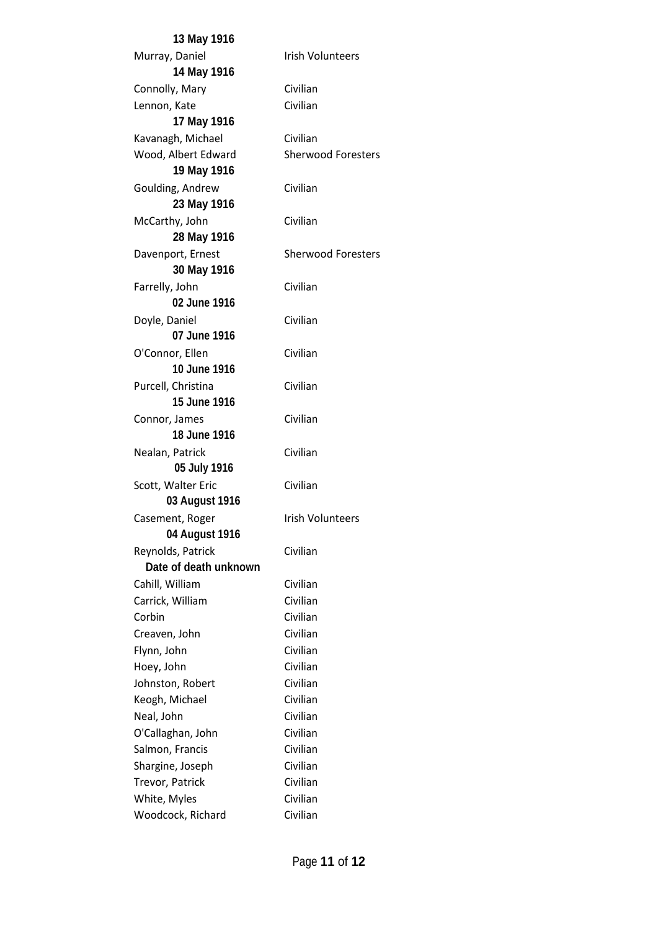**13 May 1916** Murray, Daniel **International Irish Volunteers 14 May 1916** Connolly, Mary Civilian Lennon, Kate Civilian **17 May 1916** Kavanagh, Michael Civilian Wood, Albert Edward Sherwood Foresters **19 May 1916** Goulding, Andrew Civilian **23 May 1916** McCarthy, John Civilian **28 May 1916** Davenport, Ernest Sherwood Foresters **30 May 1916** Farrelly, John Civilian **02 June 1916** Doyle, Daniel Civilian **07 June 1916** O'Connor, Ellen Civilian **10 June 1916** Purcell, Christina Civilian **15 June 1916** Connor, James Civilian **18 June 1916** Nealan, Patrick Civilian **05 July 1916** Scott, Walter Eric Civilian **03 August 1916** Casement, Roger Irish Volunteers **04 August 1916** Reynolds, Patrick Civilian **Date of death unknown** Cahill, William Civilian Carrick, William Civilian Corbin Civilian Creaven, John Civilian Flynn, John Civilian Hoey, John Civilian Johnston, Robert Civilian Keogh, Michael Civilian Neal, John Civilian O'Callaghan, John Civilian Salmon, Francis Civilian Shargine, Joseph Civilian Trevor, Patrick Civilian White, Myles Civilian Woodcock, Richard Civilian